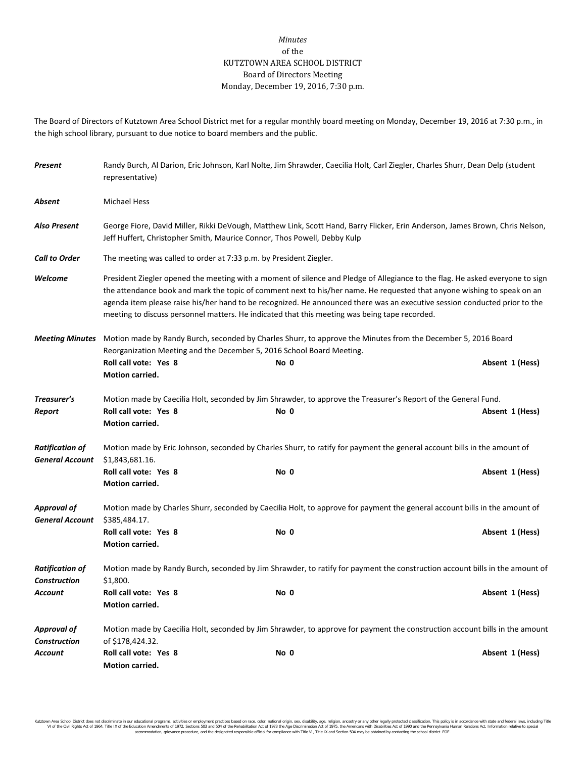## *Minutes* of the KUTZTOWN AREA SCHOOL DISTRICT Board of Directors Meeting Monday, December 19, 2016, 7:30 p.m.

The Board of Directors of Kutztown Area School District met for a regular monthly board meeting on Monday, December 19, 2016 at 7:30 p.m., in the high school library, pursuant to due notice to board members and the public.

| Present                                          | Randy Burch, Al Darion, Eric Johnson, Karl Nolte, Jim Shrawder, Caecilia Holt, Carl Ziegler, Charles Shurr, Dean Delp (student<br>representative)                                                                                                                                                                                                                                                                                                                                       |                                                                                                                        |                                                                                                                             |  |  |  |  |
|--------------------------------------------------|-----------------------------------------------------------------------------------------------------------------------------------------------------------------------------------------------------------------------------------------------------------------------------------------------------------------------------------------------------------------------------------------------------------------------------------------------------------------------------------------|------------------------------------------------------------------------------------------------------------------------|-----------------------------------------------------------------------------------------------------------------------------|--|--|--|--|
| Absent                                           | <b>Michael Hess</b>                                                                                                                                                                                                                                                                                                                                                                                                                                                                     |                                                                                                                        |                                                                                                                             |  |  |  |  |
| <b>Also Present</b>                              | George Fiore, David Miller, Rikki DeVough, Matthew Link, Scott Hand, Barry Flicker, Erin Anderson, James Brown, Chris Nelson,<br>Jeff Huffert, Christopher Smith, Maurice Connor, Thos Powell, Debby Kulp                                                                                                                                                                                                                                                                               |                                                                                                                        |                                                                                                                             |  |  |  |  |
| <b>Call to Order</b>                             | The meeting was called to order at 7:33 p.m. by President Ziegler.                                                                                                                                                                                                                                                                                                                                                                                                                      |                                                                                                                        |                                                                                                                             |  |  |  |  |
| Welcome                                          | President Ziegler opened the meeting with a moment of silence and Pledge of Allegiance to the flag. He asked everyone to sign<br>the attendance book and mark the topic of comment next to his/her name. He requested that anyone wishing to speak on an<br>agenda item please raise his/her hand to be recognized. He announced there was an executive session conducted prior to the<br>meeting to discuss personnel matters. He indicated that this meeting was being tape recorded. |                                                                                                                        |                                                                                                                             |  |  |  |  |
| <b>Meeting Minutes</b>                           | Motion made by Randy Burch, seconded by Charles Shurr, to approve the Minutes from the December 5, 2016 Board<br>Reorganization Meeting and the December 5, 2016 School Board Meeting.                                                                                                                                                                                                                                                                                                  |                                                                                                                        |                                                                                                                             |  |  |  |  |
|                                                  | Roll call vote: Yes 8<br>Motion carried.                                                                                                                                                                                                                                                                                                                                                                                                                                                | No 0                                                                                                                   | Absent 1 (Hess)                                                                                                             |  |  |  |  |
| Treasurer's<br>Report                            | Roll call vote: Yes 8<br>Motion carried.                                                                                                                                                                                                                                                                                                                                                                                                                                                | Motion made by Caecilia Holt, seconded by Jim Shrawder, to approve the Treasurer's Report of the General Fund.<br>No 0 | Absent 1 (Hess)                                                                                                             |  |  |  |  |
| <b>Ratification of</b><br><b>General Account</b> | Motion made by Eric Johnson, seconded by Charles Shurr, to ratify for payment the general account bills in the amount of<br>\$1,843,681.16.                                                                                                                                                                                                                                                                                                                                             |                                                                                                                        |                                                                                                                             |  |  |  |  |
|                                                  | Roll call vote: Yes 8<br>Motion carried.                                                                                                                                                                                                                                                                                                                                                                                                                                                | No 0                                                                                                                   | Absent 1 (Hess)                                                                                                             |  |  |  |  |
| <b>Approval of</b><br><b>General Account</b>     | \$385,484.17.                                                                                                                                                                                                                                                                                                                                                                                                                                                                           |                                                                                                                        | Motion made by Charles Shurr, seconded by Caecilia Holt, to approve for payment the general account bills in the amount of  |  |  |  |  |
|                                                  | Roll call vote: Yes 8<br>Motion carried.                                                                                                                                                                                                                                                                                                                                                                                                                                                | No 0                                                                                                                   | Absent 1 (Hess)                                                                                                             |  |  |  |  |
| <b>Ratification of</b><br><b>Construction</b>    | Motion made by Randy Burch, seconded by Jim Shrawder, to ratify for payment the construction account bills in the amount of<br>\$1,800.                                                                                                                                                                                                                                                                                                                                                 |                                                                                                                        |                                                                                                                             |  |  |  |  |
| Account                                          | Roll call vote: Yes 8<br><b>Motion carried.</b>                                                                                                                                                                                                                                                                                                                                                                                                                                         | No 0                                                                                                                   | Absent 1 (Hess)                                                                                                             |  |  |  |  |
| <b>Approval of</b><br><b>Construction</b>        | of \$178,424.32.                                                                                                                                                                                                                                                                                                                                                                                                                                                                        |                                                                                                                        | Motion made by Caecilia Holt, seconded by Jim Shrawder, to approve for payment the construction account bills in the amount |  |  |  |  |
| Account                                          | Roll call vote: Yes 8<br>Motion carried.                                                                                                                                                                                                                                                                                                                                                                                                                                                | No 0                                                                                                                   | Absent 1 (Hess)                                                                                                             |  |  |  |  |

Kutzlown Area School District does not discriminate in our oducational programs, activities or employment practices based on ractional origin, sex, disability, so, et also in the about a may be entered in the second of the accommodation, grievance procedure, and the designated responsible official for compliance with Title VI, Title IX and Section 504 may be obtained by contacting the school district. EOE.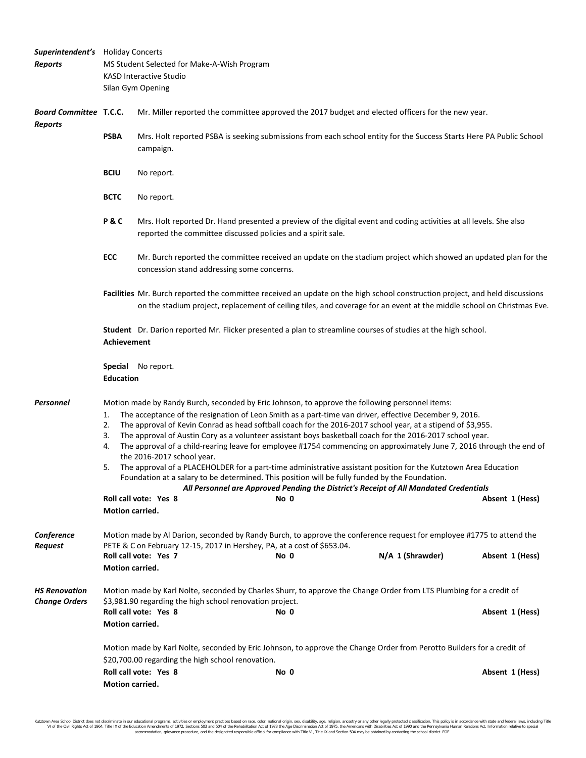| <b>Superintendent's</b> Holiday Concerts        |                                                                                                                                                                                                                                                                          |                                                                                                                                                                                                                                                                                                                                                                                                                                                                                                                                                                                                                                                                                                                                                                                                                                                                                                                                                               |  |      |  |  |  |                 |
|-------------------------------------------------|--------------------------------------------------------------------------------------------------------------------------------------------------------------------------------------------------------------------------------------------------------------------------|---------------------------------------------------------------------------------------------------------------------------------------------------------------------------------------------------------------------------------------------------------------------------------------------------------------------------------------------------------------------------------------------------------------------------------------------------------------------------------------------------------------------------------------------------------------------------------------------------------------------------------------------------------------------------------------------------------------------------------------------------------------------------------------------------------------------------------------------------------------------------------------------------------------------------------------------------------------|--|------|--|--|--|-----------------|
| <b>Reports</b>                                  | MS Student Selected for Make-A-Wish Program                                                                                                                                                                                                                              |                                                                                                                                                                                                                                                                                                                                                                                                                                                                                                                                                                                                                                                                                                                                                                                                                                                                                                                                                               |  |      |  |  |  |                 |
|                                                 | <b>KASD Interactive Studio</b>                                                                                                                                                                                                                                           |                                                                                                                                                                                                                                                                                                                                                                                                                                                                                                                                                                                                                                                                                                                                                                                                                                                                                                                                                               |  |      |  |  |  |                 |
|                                                 |                                                                                                                                                                                                                                                                          | Silan Gym Opening                                                                                                                                                                                                                                                                                                                                                                                                                                                                                                                                                                                                                                                                                                                                                                                                                                                                                                                                             |  |      |  |  |  |                 |
| <b>Board Committee T.C.C.</b><br><b>Reports</b> |                                                                                                                                                                                                                                                                          | Mr. Miller reported the committee approved the 2017 budget and elected officers for the new year.                                                                                                                                                                                                                                                                                                                                                                                                                                                                                                                                                                                                                                                                                                                                                                                                                                                             |  |      |  |  |  |                 |
|                                                 | <b>PSBA</b>                                                                                                                                                                                                                                                              | Mrs. Holt reported PSBA is seeking submissions from each school entity for the Success Starts Here PA Public School<br>campaign.                                                                                                                                                                                                                                                                                                                                                                                                                                                                                                                                                                                                                                                                                                                                                                                                                              |  |      |  |  |  |                 |
|                                                 | <b>BCIU</b>                                                                                                                                                                                                                                                              | No report.                                                                                                                                                                                                                                                                                                                                                                                                                                                                                                                                                                                                                                                                                                                                                                                                                                                                                                                                                    |  |      |  |  |  |                 |
|                                                 | <b>BCTC</b>                                                                                                                                                                                                                                                              | No report.                                                                                                                                                                                                                                                                                                                                                                                                                                                                                                                                                                                                                                                                                                                                                                                                                                                                                                                                                    |  |      |  |  |  |                 |
|                                                 | P&C                                                                                                                                                                                                                                                                      | Mrs. Holt reported Dr. Hand presented a preview of the digital event and coding activities at all levels. She also<br>reported the committee discussed policies and a spirit sale.                                                                                                                                                                                                                                                                                                                                                                                                                                                                                                                                                                                                                                                                                                                                                                            |  |      |  |  |  |                 |
|                                                 | ECC                                                                                                                                                                                                                                                                      | Mr. Burch reported the committee received an update on the stadium project which showed an updated plan for the<br>concession stand addressing some concerns.                                                                                                                                                                                                                                                                                                                                                                                                                                                                                                                                                                                                                                                                                                                                                                                                 |  |      |  |  |  |                 |
|                                                 |                                                                                                                                                                                                                                                                          | Facilities Mr. Burch reported the committee received an update on the high school construction project, and held discussions<br>on the stadium project, replacement of ceiling tiles, and coverage for an event at the middle school on Christmas Eve.                                                                                                                                                                                                                                                                                                                                                                                                                                                                                                                                                                                                                                                                                                        |  |      |  |  |  |                 |
|                                                 | Student Dr. Darion reported Mr. Flicker presented a plan to streamline courses of studies at the high school.<br>Achievement                                                                                                                                             |                                                                                                                                                                                                                                                                                                                                                                                                                                                                                                                                                                                                                                                                                                                                                                                                                                                                                                                                                               |  |      |  |  |  |                 |
|                                                 | <b>Education</b>                                                                                                                                                                                                                                                         | <b>Special</b> No report.                                                                                                                                                                                                                                                                                                                                                                                                                                                                                                                                                                                                                                                                                                                                                                                                                                                                                                                                     |  |      |  |  |  |                 |
| Personnel                                       | 1.<br>2.<br>3.<br>4.<br>5.                                                                                                                                                                                                                                               | Motion made by Randy Burch, seconded by Eric Johnson, to approve the following personnel items:<br>The acceptance of the resignation of Leon Smith as a part-time van driver, effective December 9, 2016.<br>The approval of Kevin Conrad as head softball coach for the 2016-2017 school year, at a stipend of \$3,955.<br>The approval of Austin Cory as a volunteer assistant boys basketball coach for the 2016-2017 school year.<br>The approval of a child-rearing leave for employee #1754 commencing on approximately June 7, 2016 through the end of<br>the 2016-2017 school year.<br>The approval of a PLACEHOLDER for a part-time administrative assistant position for the Kutztown Area Education<br>Foundation at a salary to be determined. This position will be fully funded by the Foundation.<br>All Personnel are Approved Pending the District's Receipt of All Mandated Credentials<br>Roll call vote: Yes 8<br>No 0<br>Motion carried. |  |      |  |  |  | Absent 1 (Hess) |
| Conference<br><b>Request</b>                    | Motion made by Al Darion, seconded by Randy Burch, to approve the conference request for employee #1775 to attend the<br>PETE & C on February 12-15, 2017 in Hershey, PA, at a cost of \$653.04.<br>N/A 1 (Shrawder)<br>Roll call vote: Yes 7<br>No 0<br>Absent 1 (Hess) |                                                                                                                                                                                                                                                                                                                                                                                                                                                                                                                                                                                                                                                                                                                                                                                                                                                                                                                                                               |  |      |  |  |  |                 |
|                                                 | <b>Motion carried.</b>                                                                                                                                                                                                                                                   |                                                                                                                                                                                                                                                                                                                                                                                                                                                                                                                                                                                                                                                                                                                                                                                                                                                                                                                                                               |  |      |  |  |  |                 |
| <b>HS Renovation</b><br><b>Change Orders</b>    |                                                                                                                                                                                                                                                                          | Motion made by Karl Nolte, seconded by Charles Shurr, to approve the Change Order from LTS Plumbing for a credit of<br>\$3,981.90 regarding the high school renovation project.<br>Roll call vote: Yes 8                                                                                                                                                                                                                                                                                                                                                                                                                                                                                                                                                                                                                                                                                                                                                      |  | No 0 |  |  |  | Absent 1 (Hess) |
|                                                 | Motion carried.                                                                                                                                                                                                                                                          |                                                                                                                                                                                                                                                                                                                                                                                                                                                                                                                                                                                                                                                                                                                                                                                                                                                                                                                                                               |  |      |  |  |  |                 |
|                                                 | Motion made by Karl Nolte, seconded by Eric Johnson, to approve the Change Order from Perotto Builders for a credit of                                                                                                                                                   |                                                                                                                                                                                                                                                                                                                                                                                                                                                                                                                                                                                                                                                                                                                                                                                                                                                                                                                                                               |  |      |  |  |  |                 |
|                                                 |                                                                                                                                                                                                                                                                          | \$20,700.00 regarding the high school renovation.                                                                                                                                                                                                                                                                                                                                                                                                                                                                                                                                                                                                                                                                                                                                                                                                                                                                                                             |  |      |  |  |  |                 |
|                                                 | Motion carried.                                                                                                                                                                                                                                                          | Roll call vote: Yes 8                                                                                                                                                                                                                                                                                                                                                                                                                                                                                                                                                                                                                                                                                                                                                                                                                                                                                                                                         |  | No 0 |  |  |  | Absent 1 (Hess) |

Kutztown Area School District does not discriminate in our educational programs, activities or employment practices based on race, color, national origin, sex, disability, age, religion, ancestry or any other legally prot